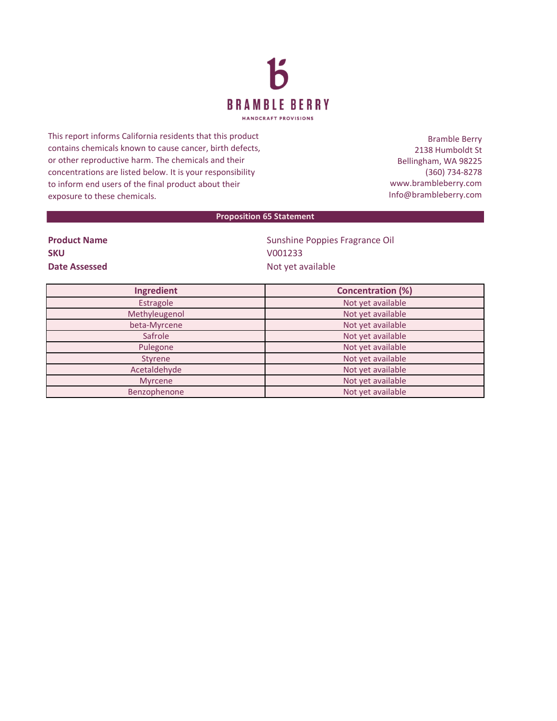

This report informs California residents that this product contains chemicals known to cause cancer, birth defects, or other reproductive harm. The chemicals and their concentrations are listed below. It is your responsibility to inform end users of the final product about their exposure to these chemicals.

Bramble Berry 2138 Humboldt St Bellingham, WA 98225 (360) 734-8278 www.brambleberry.com Info@brambleberry.com

## **Proposition 65 Statement**

| <b>Product Name</b> |
|---------------------|
| <b>SKU</b>          |
| Date Assessed       |

**Sunshine Poppies Fragrance Oil SKU** V001233 **Date Assessed** Not yet available

| Ingredient     | <b>Concentration (%)</b> |
|----------------|--------------------------|
| Estragole      | Not yet available        |
| Methyleugenol  | Not yet available        |
| beta-Myrcene   | Not yet available        |
| Safrole        | Not yet available        |
| Pulegone       | Not yet available        |
| <b>Styrene</b> | Not yet available        |
| Acetaldehyde   | Not yet available        |
| <b>Myrcene</b> | Not yet available        |
| Benzophenone   | Not yet available        |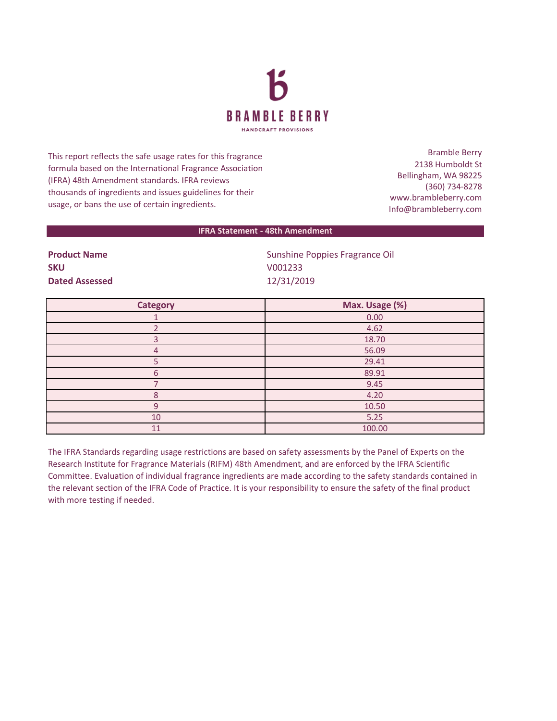

This report reflects the safe usage rates for this fragrance formula based on the International Fragrance Association (IFRA) 48th Amendment standards. IFRA reviews thousands of ingredients and issues guidelines for their usage, or bans the use of certain ingredients.

Bramble Berry 2138 Humboldt St Bellingham, WA 98225 (360) 734-8278 www.brambleberry.com Info@brambleberry.com

## **IFRA Statement - 48th Amendment**

**SKU** V001233 **Dated Assessed** 12/31/2019

**Product Name Construction Construction Construction Construction Construction Construction Construction Construction Construction Construction Construction Construction Construction Construction Construction Constructio** 

| <b>Category</b> | Max. Usage (%) |
|-----------------|----------------|
|                 | 0.00           |
|                 | 4.62           |
| з               | 18.70          |
| 4               | 56.09          |
|                 | 29.41          |
| 6               | 89.91          |
|                 | 9.45           |
| Ջ               | 4.20           |
| 9               | 10.50          |
| 10              | 5.25           |
| 11              | 100.00         |

The IFRA Standards regarding usage restrictions are based on safety assessments by the Panel of Experts on the Research Institute for Fragrance Materials (RIFM) 48th Amendment, and are enforced by the IFRA Scientific Committee. Evaluation of individual fragrance ingredients are made according to the safety standards contained in the relevant section of the IFRA Code of Practice. It is your responsibility to ensure the safety of the final product with more testing if needed.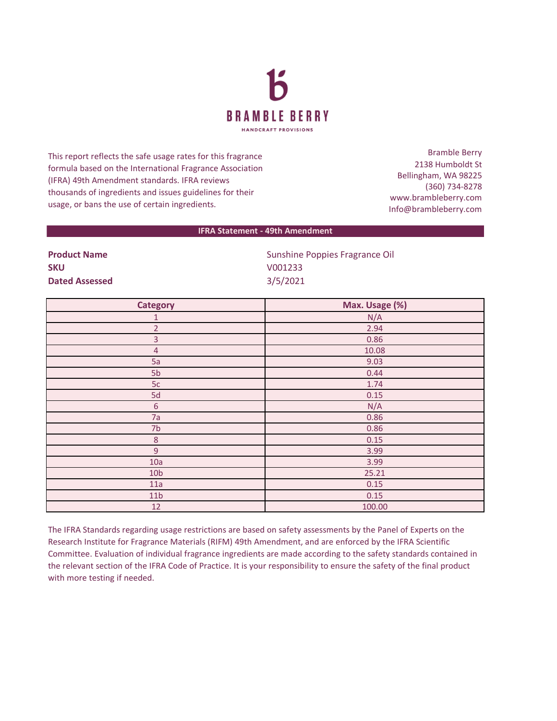

This report reflects the safe usage rates for this fragrance formula based on the International Fragrance Association (IFRA) 49th Amendment standards. IFRA reviews thousands of ingredients and issues guidelines for their usage, or bans the use of certain ingredients.

Bramble Berry 2138 Humboldt St Bellingham, WA 98225 (360) 734-8278 www.brambleberry.com Info@brambleberry.com

## **IFRA Statement - 49th Amendment**

| .                     |  |
|-----------------------|--|
| <b>SKU</b>            |  |
| <b>Dated Assessed</b> |  |

**Product Name Construction Construction Construction Construction Construction Construction Construction Construction Construction Construction Construction Construction Construction Construction Construction Constructio SKU** V001233 **Dated Assessed** 3/5/2021

| <b>Category</b> | Max. Usage (%) |
|-----------------|----------------|
| $\mathbf{1}$    | N/A            |
| $\overline{2}$  | 2.94           |
| $\overline{3}$  | 0.86           |
| $\overline{4}$  | 10.08          |
| 5a              | 9.03           |
| 5b              | 0.44           |
| 5c              | 1.74           |
| 5d              | 0.15           |
| $\sqrt{6}$      | N/A            |
| 7a              | 0.86           |
| 7 <sub>b</sub>  | 0.86           |
| $\,8\,$         | 0.15           |
| 9               | 3.99           |
| 10a             | 3.99           |
| 10 <sub>b</sub> | 25.21          |
| 11a             | 0.15           |
| 11 <sub>b</sub> | 0.15           |
| 12              | 100.00         |

The IFRA Standards regarding usage restrictions are based on safety assessments by the Panel of Experts on the Research Institute for Fragrance Materials (RIFM) 49th Amendment, and are enforced by the IFRA Scientific Committee. Evaluation of individual fragrance ingredients are made according to the safety standards contained in the relevant section of the IFRA Code of Practice. It is your responsibility to ensure the safety of the final product with more testing if needed.